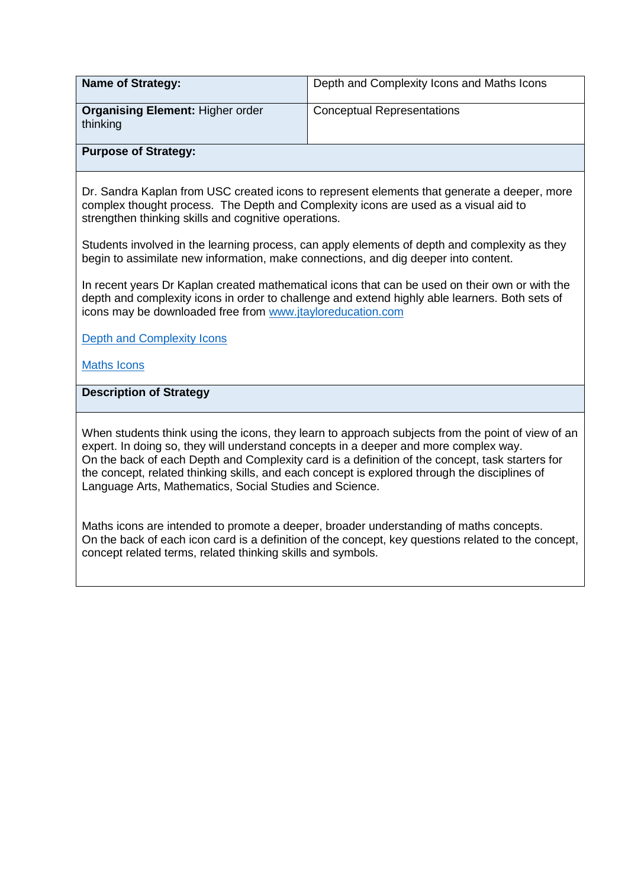| <b>Name of Strategy:</b>                            | Depth and Complexity Icons and Maths Icons |
|-----------------------------------------------------|--------------------------------------------|
| <b>Organising Element: Higher order</b><br>thinking | <b>Conceptual Representations</b>          |
| <b>Purpose of Strategy:</b>                         |                                            |

Dr. Sandra Kaplan from USC created icons to represent elements that generate a deeper, more complex thought process. The Depth and Complexity icons are used as a visual aid to strengthen thinking skills and cognitive operations.

Students involved in the learning process, can apply elements of depth and complexity as they begin to assimilate new information, make connections, and dig deeper into content.

In recent years Dr Kaplan created mathematical icons that can be used on their own or with the depth and complexity icons in order to challenge and extend highly able learners. Both sets of icons may be downloaded free from [www.jtayloreducation.com](http://www.jtayloreducation.com/)

[Depth and Complexity Icons](https://www.jtayloreducation.com/free-downloadable-icons/)

[Maths Icons](https://www.jtayloreducation.com/free-downloadable-icons/)

**Description of Strategy**

When students think using the icons, they learn to approach subjects from the point of view of an expert. In doing so, they will understand concepts in a deeper and more complex way. On the back of each Depth and Complexity card is a definition of the concept, task starters for the concept, related thinking skills, and each concept is explored through the disciplines of Language Arts, Mathematics, Social Studies and Science.

Maths icons are intended to promote a deeper, broader understanding of maths concepts. On the back of each icon card is a definition of the concept, key questions related to the concept, concept related terms, related thinking skills and symbols.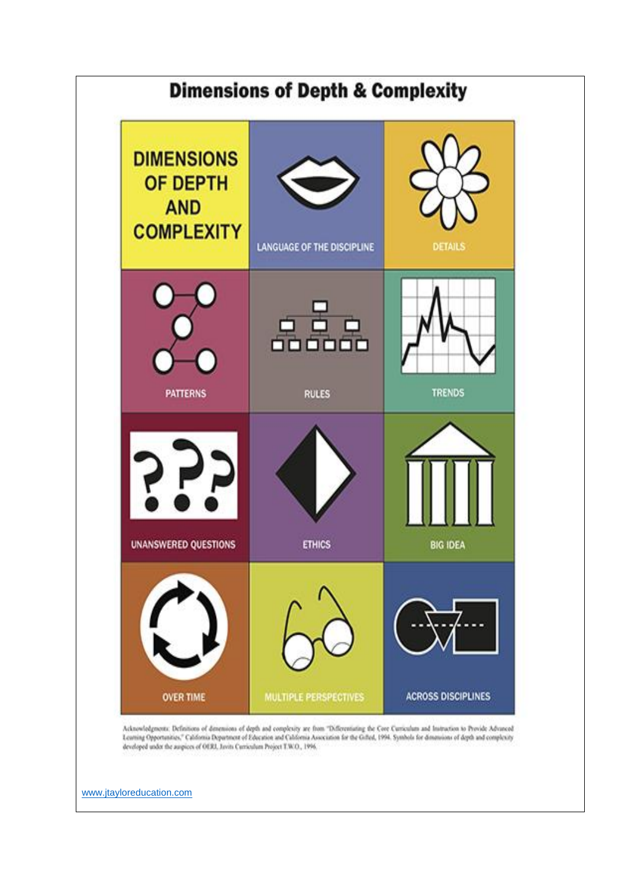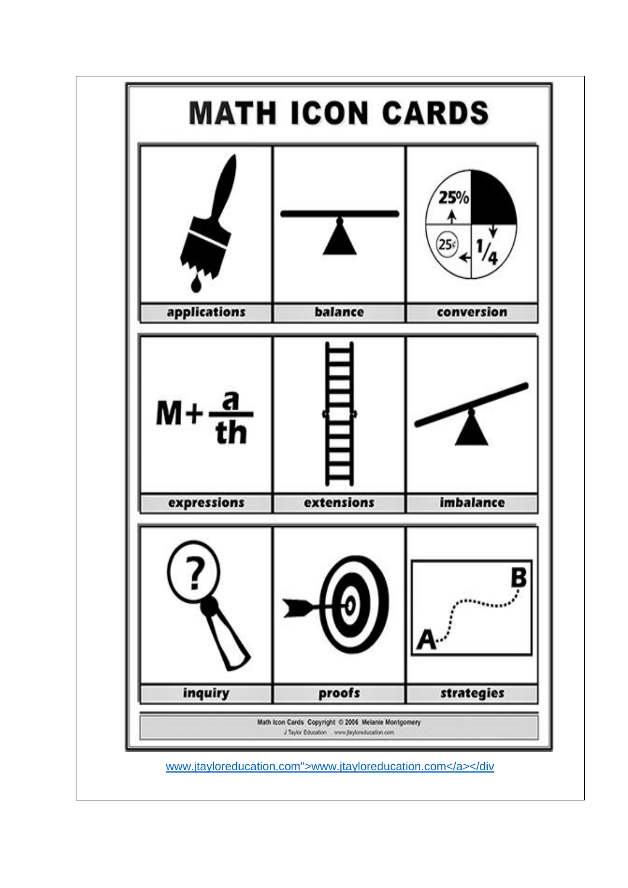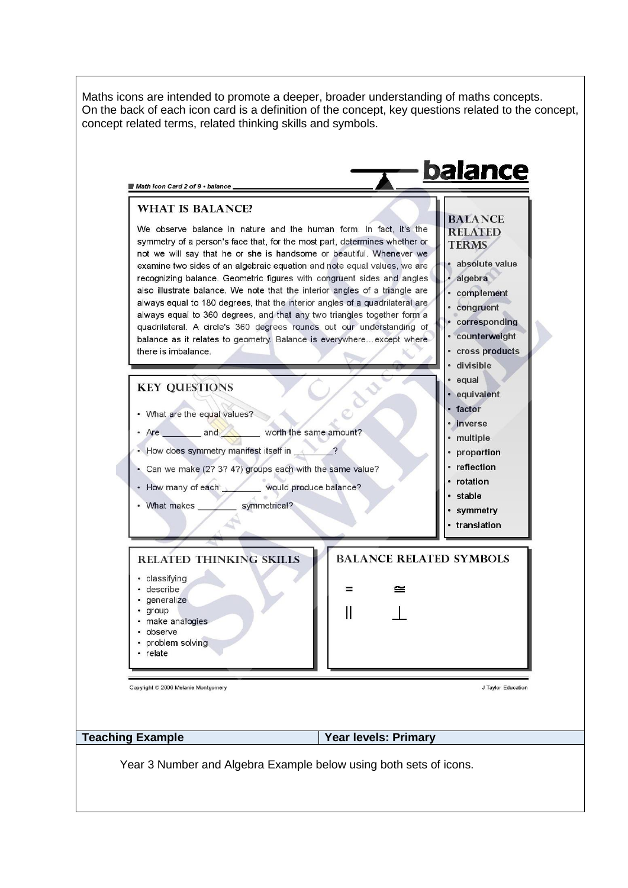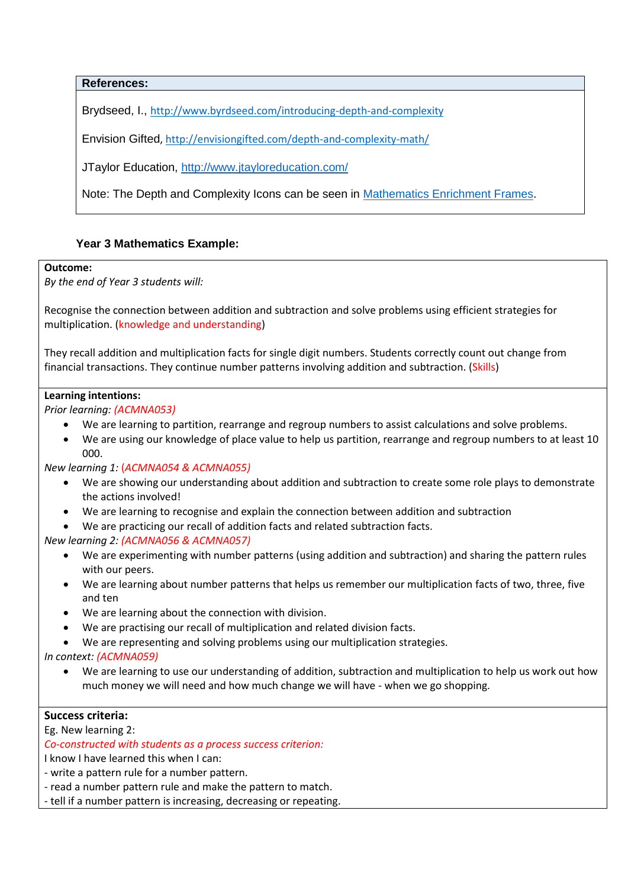**References:**

Brydseed, I., <http://www.byrdseed.com/introducing-depth-and-complexity>

Envision Gifted,<http://envisiongifted.com/depth-and-complexity-math/>

JTaylor Education,<http://www.jtayloreducation.com/>

Note: The Depth and Complexity Icons can be seen in [Mathematics Enrichment Frames.](http://www.ais.sa.edu.au/__files/d/223829/Maths%20Enrichment%20Frames.pdf)

# **Year 3 Mathematics Example:**

#### **Outcome:**

*By the end of Year 3 students will:*

Recognise the connection between addition and subtraction and solve problems using efficient strategies for multiplication. (knowledge and understanding)

They recall addition and multiplication facts for single digit numbers. Students correctly count out change from financial transactions. They continue number patterns involving addition and subtraction. (Skills)

## **Learning intentions:**

*Prior learning: (ACMNA053)*

- We are learning to partition, rearrange and regroup numbers to assist calculations and solve problems.
- We are using our knowledge of place value to help us partition, rearrange and regroup numbers to at least 10 000.

#### *New learning 1:* (*ACMNA054 & ACMNA055)*

- We are showing our understanding about addition and subtraction to create some role plays to demonstrate the actions involved!
- We are learning to recognise and explain the connection between addition and subtraction
- We are practicing our recall of addition facts and related subtraction facts.

## *New learning 2: (ACMNA056 & ACMNA057)*

- We are experimenting with number patterns (using addition and subtraction) and sharing the pattern rules with our peers.
- We are learning about number patterns that helps us remember our multiplication facts of two, three, five and ten
- We are learning about the connection with division.
- We are practising our recall of multiplication and related division facts.
- We are representing and solving problems using our multiplication strategies.

*In context: (ACMNA059)*

• We are learning to use our understanding of addition, subtraction and multiplication to help us work out how much money we will need and how much change we will have - when we go shopping.

# **Success criteria:**

Eg. New learning 2:

*Co-constructed with students as a process success criterion:*

I know I have learned this when I can:

- write a pattern rule for a number pattern.
- read a number pattern rule and make the pattern to match.
- tell if a number pattern is increasing, decreasing or repeating.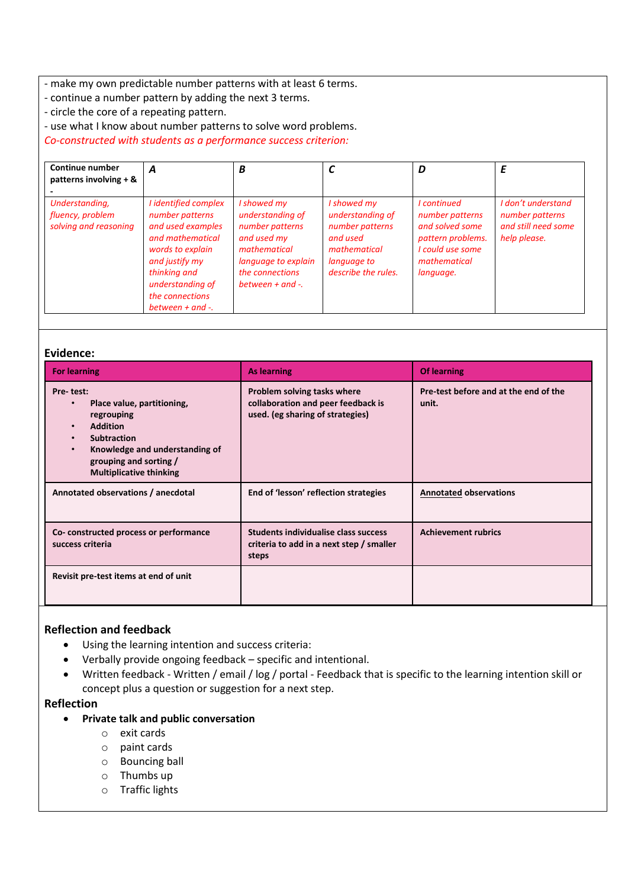- make my own predictable number patterns with at least 6 terms.

- continue a number pattern by adding the next 3 terms.
- circle the core of a repeating pattern.

- use what I know about number patterns to solve word problems.

*Co-constructed with students as a performance success criterion:*

| <b>Continue number</b><br>patterns involving $+$ &          | A                                                                                                                                                                                                      | B                                                                                                                                                    |                                                                                                                      | D                                                                                                                       | E                                                                            |
|-------------------------------------------------------------|--------------------------------------------------------------------------------------------------------------------------------------------------------------------------------------------------------|------------------------------------------------------------------------------------------------------------------------------------------------------|----------------------------------------------------------------------------------------------------------------------|-------------------------------------------------------------------------------------------------------------------------|------------------------------------------------------------------------------|
| Understanding,<br>fluency, problem<br>solving and reasoning | I identified complex<br>number patterns<br>and used examples<br>and mathematical<br>words to explain<br>and justify my<br>thinking and<br>understanding of<br>the connections<br>between $+$ and $-$ . | I showed my<br>understanding of<br>number patterns<br>and used my<br>mathematical<br>language to explain<br>the connections<br>between $+$ and $-$ . | I showed my<br>understanding of<br>number patterns<br>and used<br>mathematical<br>language to<br>describe the rules. | I continued<br>number patterns<br>and solved some<br>pattern problems.<br>I could use some<br>mathematical<br>language. | I don't understand<br>number patterns<br>and still need some<br>help please. |

#### **Evidence:**

| <b>For learning</b>                                                                                                                                                                                       | <b>As learning</b>                                                                                    | <b>Of learning</b>                             |
|-----------------------------------------------------------------------------------------------------------------------------------------------------------------------------------------------------------|-------------------------------------------------------------------------------------------------------|------------------------------------------------|
| Pre-test:<br>Place value, partitioning,<br>regrouping<br><b>Addition</b><br><b>Subtraction</b><br>Knowledge and understanding of<br>$\bullet$<br>grouping and sorting /<br><b>Multiplicative thinking</b> | Problem solving tasks where<br>collaboration and peer feedback is<br>used. (eg sharing of strategies) | Pre-test before and at the end of the<br>unit. |
| Annotated observations / anecdotal                                                                                                                                                                        | End of 'lesson' reflection strategies                                                                 | <b>Annotated observations</b>                  |
| Co-constructed process or performance<br>success criteria                                                                                                                                                 | <b>Students individualise class success</b><br>criteria to add in a next step / smaller<br>steps      | <b>Achievement rubrics</b>                     |
| Revisit pre-test items at end of unit                                                                                                                                                                     |                                                                                                       |                                                |

## **Reflection and feedback**

- Using the learning intention and success criteria:
- Verbally provide ongoing feedback specific and intentional.
- Written feedback Written / email / log / portal Feedback that is specific to the learning intention skill or concept plus a question or suggestion for a next step.

## **Reflection**

#### • **Private talk and public conversation**

- o exit cards
- o paint cards
- o Bouncing ball
- o Thumbs up
- o Traffic lights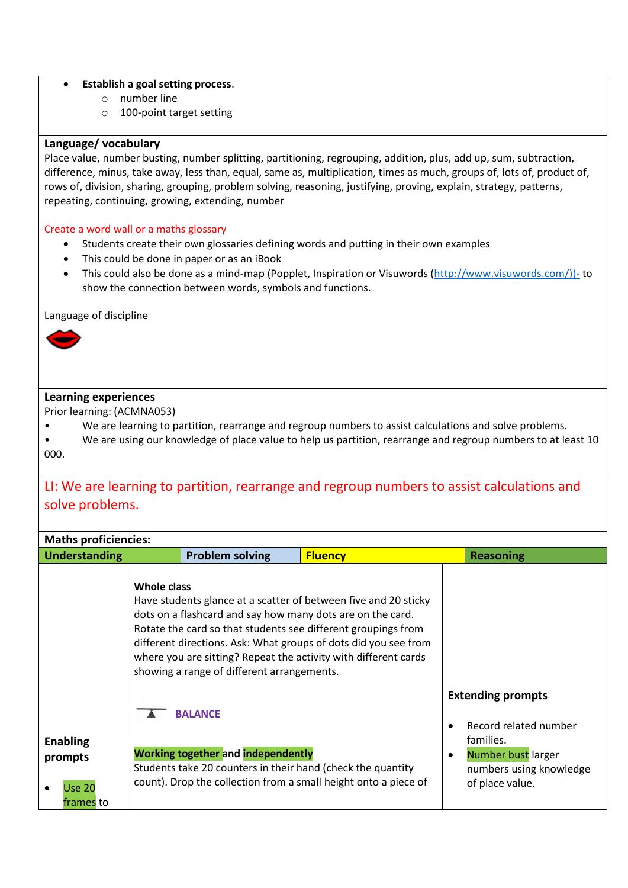## • **Establish a goal setting process**.

- o number line
- o 100-point target setting

## **Language/ vocabulary**

Place value, number busting, number splitting, partitioning, regrouping, addition, plus, add up, sum, subtraction, difference, minus, take away, less than, equal, same as, multiplication, times as much, groups of, lots of, product of, rows of, division, sharing, grouping, problem solving, reasoning, justifying, proving, explain, strategy, patterns, repeating, continuing, growing, extending, number

#### Create a word wall or a maths glossary

- Students create their own glossaries defining words and putting in their own examples
- This could be done in paper or as an iBook
- This could also be done as a mind-map (Popplet, Inspiration or Visuwords [\(http://www.visuwords.com/\)\)-](http://www.visuwords.com/))-) to show the connection between words, symbols and functions.

Language of discipline



# **Learning experiences**

Prior learning: (ACMNA053)

- We are learning to partition, rearrange and regroup numbers to assist calculations and solve problems.
- We are using our knowledge of place value to help us partition, rearrange and regroup numbers to at least 10 000.

# LI: We are learning to partition, rearrange and regroup numbers to assist calculations and solve problems.

| <b>Maths proficiencies:</b>                              |                                                                                                                                                                                                                                                                                                                                                                                                          |                |                                                                                                                                    |
|----------------------------------------------------------|----------------------------------------------------------------------------------------------------------------------------------------------------------------------------------------------------------------------------------------------------------------------------------------------------------------------------------------------------------------------------------------------------------|----------------|------------------------------------------------------------------------------------------------------------------------------------|
| <b>Understanding</b>                                     | <b>Problem solving</b>                                                                                                                                                                                                                                                                                                                                                                                   | <b>Fluency</b> | <b>Reasoning</b>                                                                                                                   |
|                                                          | <b>Whole class</b><br>Have students glance at a scatter of between five and 20 sticky<br>dots on a flashcard and say how many dots are on the card.<br>Rotate the card so that students see different groupings from<br>different directions. Ask: What groups of dots did you see from<br>where you are sitting? Repeat the activity with different cards<br>showing a range of different arrangements. |                |                                                                                                                                    |
| <b>Enabling</b><br>prompts<br><b>Use 20</b><br>frames to | <b>BALANCE</b><br><b>Working together and independently</b><br>Students take 20 counters in their hand (check the quantity<br>count). Drop the collection from a small height onto a piece of                                                                                                                                                                                                            |                | <b>Extending prompts</b><br>Record related number<br>families.<br>Number bust larger<br>numbers using knowledge<br>of place value. |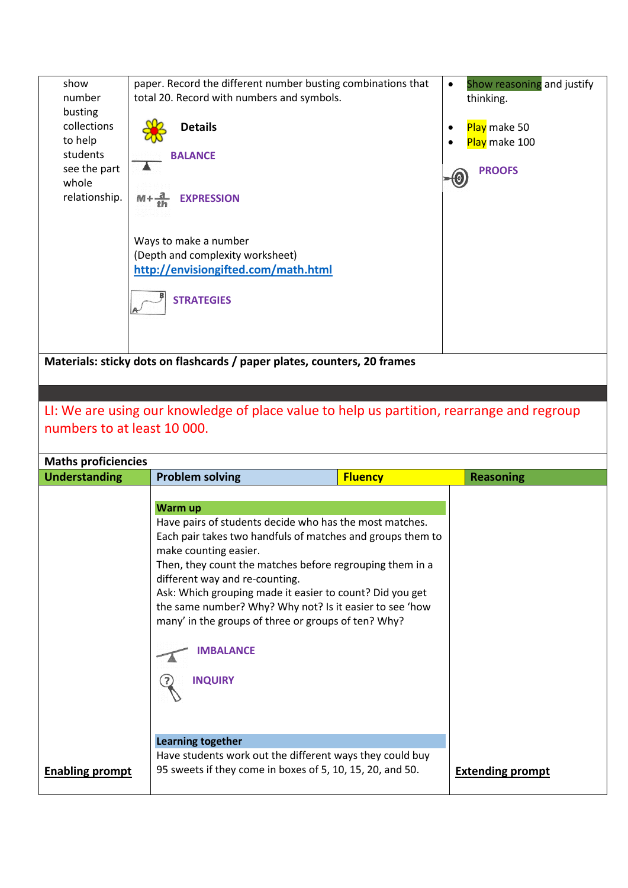| show<br>number<br>busting<br>collections<br>to help<br>students<br>see the part<br>whole<br>relationship. | paper. Record the different number busting combinations that<br>total 20. Record with numbers and symbols.<br><b>Details</b><br><b>BALANCE</b><br>$M + \frac{a}{th}$<br><b>EXPRESSION</b><br>Ways to make a number<br>(Depth and complexity worksheet)<br>http://envisiongifted.com/math.html<br><b>STRATEGIES</b> | Show reasoning and justify<br>$\bullet$<br>thinking.<br>Play make 50<br>Play make 100<br><b>PROOFS</b> |  |
|-----------------------------------------------------------------------------------------------------------|--------------------------------------------------------------------------------------------------------------------------------------------------------------------------------------------------------------------------------------------------------------------------------------------------------------------|--------------------------------------------------------------------------------------------------------|--|
|                                                                                                           |                                                                                                                                                                                                                                                                                                                    |                                                                                                        |  |
|                                                                                                           | Materials: sticky dots on flashcards / paper plates, counters, 20 frames                                                                                                                                                                                                                                           |                                                                                                        |  |
|                                                                                                           |                                                                                                                                                                                                                                                                                                                    |                                                                                                        |  |
|                                                                                                           |                                                                                                                                                                                                                                                                                                                    |                                                                                                        |  |
|                                                                                                           | LI: We are using our knowledge of place value to help us partition, rearrange and regroup                                                                                                                                                                                                                          |                                                                                                        |  |
| numbers to at least 10 000.                                                                               |                                                                                                                                                                                                                                                                                                                    |                                                                                                        |  |
| <b>Maths proficiencies</b>                                                                                |                                                                                                                                                                                                                                                                                                                    |                                                                                                        |  |
| <b>Understanding</b>                                                                                      | <b>Problem solving</b><br><b>Fluency</b>                                                                                                                                                                                                                                                                           | <b>Reasoning</b>                                                                                       |  |
|                                                                                                           |                                                                                                                                                                                                                                                                                                                    |                                                                                                        |  |
|                                                                                                           | Warm up                                                                                                                                                                                                                                                                                                            |                                                                                                        |  |
|                                                                                                           | Have pairs of students decide who has the most matches.<br>Each pair takes two handfuls of matches and groups them to                                                                                                                                                                                              |                                                                                                        |  |
|                                                                                                           | make counting easier.                                                                                                                                                                                                                                                                                              |                                                                                                        |  |
|                                                                                                           | Then, they count the matches before regrouping them in a                                                                                                                                                                                                                                                           |                                                                                                        |  |
|                                                                                                           | different way and re-counting.                                                                                                                                                                                                                                                                                     |                                                                                                        |  |
|                                                                                                           | Ask: Which grouping made it easier to count? Did you get<br>the same number? Why? Why not? Is it easier to see 'how                                                                                                                                                                                                |                                                                                                        |  |
|                                                                                                           | many' in the groups of three or groups of ten? Why?                                                                                                                                                                                                                                                                |                                                                                                        |  |
|                                                                                                           |                                                                                                                                                                                                                                                                                                                    |                                                                                                        |  |
|                                                                                                           | <b>IMBALANCE</b>                                                                                                                                                                                                                                                                                                   |                                                                                                        |  |
|                                                                                                           | <b>INQUIRY</b>                                                                                                                                                                                                                                                                                                     |                                                                                                        |  |
|                                                                                                           |                                                                                                                                                                                                                                                                                                                    |                                                                                                        |  |
|                                                                                                           |                                                                                                                                                                                                                                                                                                                    |                                                                                                        |  |
|                                                                                                           |                                                                                                                                                                                                                                                                                                                    |                                                                                                        |  |
|                                                                                                           | <b>Learning together</b><br>Have students work out the different ways they could buy                                                                                                                                                                                                                               |                                                                                                        |  |
| <b>Enabling prompt</b>                                                                                    |                                                                                                                                                                                                                                                                                                                    |                                                                                                        |  |